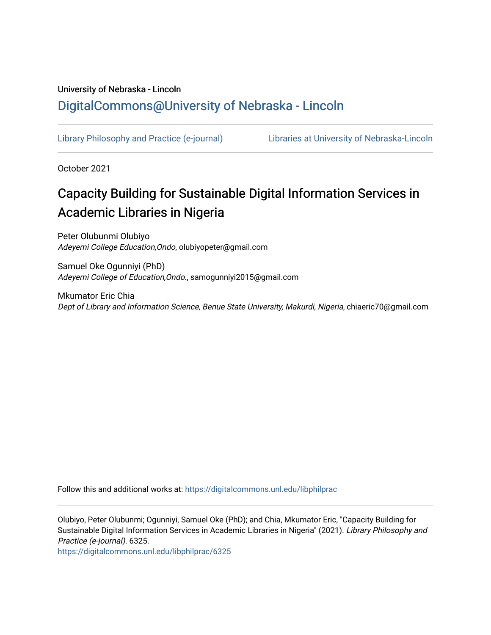# University of Nebraska - Lincoln [DigitalCommons@University of Nebraska - Lincoln](https://digitalcommons.unl.edu/)

[Library Philosophy and Practice \(e-journal\)](https://digitalcommons.unl.edu/libphilprac) [Libraries at University of Nebraska-Lincoln](https://digitalcommons.unl.edu/libraries) 

October 2021

# Capacity Building for Sustainable Digital Information Services in Academic Libraries in Nigeria

Peter Olubunmi Olubiyo Adeyemi College Education,Ondo, olubiyopeter@gmail.com

Samuel Oke Ogunniyi (PhD) Adeyemi College of Education,Ondo., samogunniyi2015@gmail.com

Mkumator Eric Chia Dept of Library and Information Science, Benue State University, Makurdi, Nigeria, chiaeric70@gmail.com

Follow this and additional works at: [https://digitalcommons.unl.edu/libphilprac](https://digitalcommons.unl.edu/libphilprac?utm_source=digitalcommons.unl.edu%2Flibphilprac%2F6325&utm_medium=PDF&utm_campaign=PDFCoverPages) 

Olubiyo, Peter Olubunmi; Ogunniyi, Samuel Oke (PhD); and Chia, Mkumator Eric, "Capacity Building for Sustainable Digital Information Services in Academic Libraries in Nigeria" (2021). Library Philosophy and Practice (e-journal). 6325.

[https://digitalcommons.unl.edu/libphilprac/6325](https://digitalcommons.unl.edu/libphilprac/6325?utm_source=digitalcommons.unl.edu%2Flibphilprac%2F6325&utm_medium=PDF&utm_campaign=PDFCoverPages)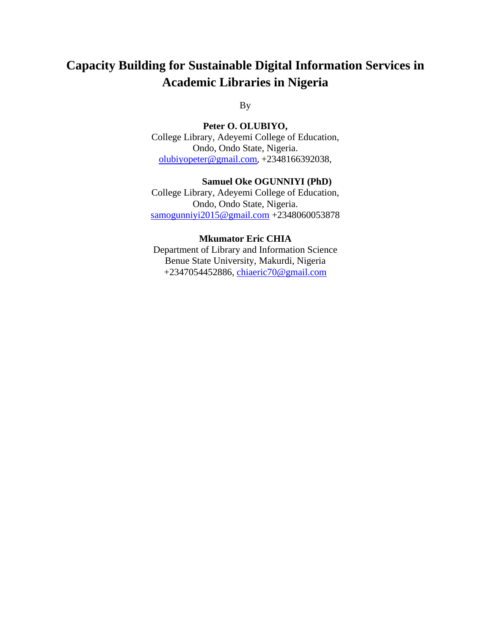# **Capacity Building for Sustainable Digital Information Services in Academic Libraries in Nigeria**

By

**Peter O. OLUBIYO,** 

College Library, Adeyemi College of Education, Ondo, Ondo State, Nigeria. [olubiyopeter@gmail.com](mailto:olubiyopeter@gmail.com), +2348166392038,

#### **Samuel Oke OGUNNIYI (PhD)**

College Library, Adeyemi College of Education, Ondo, Ondo State, Nigeria. [samogunniyi2015@gmail.com](mailto:samogunniyi2015@gmail.com) +2348060053878

#### **Mkumator Eric CHIA**

Department of Library and Information Science Benue State University, Makurdi, Nigeria +2347054452886, [chiaeric70@gmail.com](mailto:chiaeric70@gmail.com)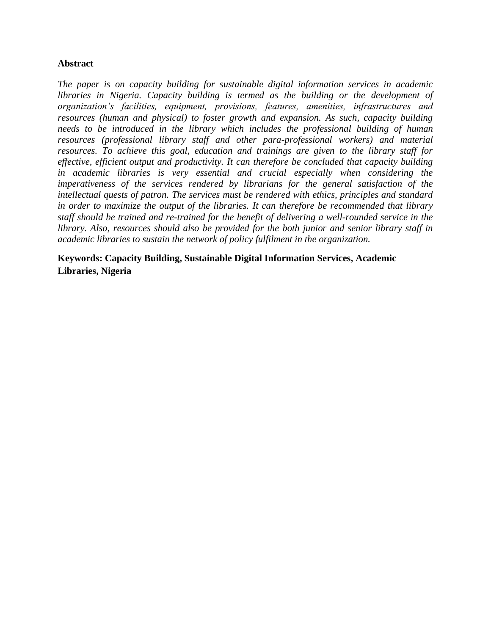# **Abstract**

*The paper is on capacity building for sustainable digital information services in academic libraries in Nigeria. Capacity building is termed as the building or the development of organization's facilities, equipment, provisions, features, amenities, infrastructures and resources (human and physical) to foster growth and expansion. As such, capacity building needs to be introduced in the library which includes the professional building of human resources (professional library staff and other para-professional workers) and material resources. To achieve this goal, education and trainings are given to the library staff for effective, efficient output and productivity. It can therefore be concluded that capacity building in academic libraries is very essential and crucial especially when considering the imperativeness of the services rendered by librarians for the general satisfaction of the intellectual quests of patron. The services must be rendered with ethics, principles and standard in order to maximize the output of the libraries. It can therefore be recommended that library staff should be trained and re-trained for the benefit of delivering a well-rounded service in the library. Also, resources should also be provided for the both junior and senior library staff in academic libraries to sustain the network of policy fulfilment in the organization.*

**Keywords: Capacity Building, Sustainable Digital Information Services, Academic Libraries, Nigeria**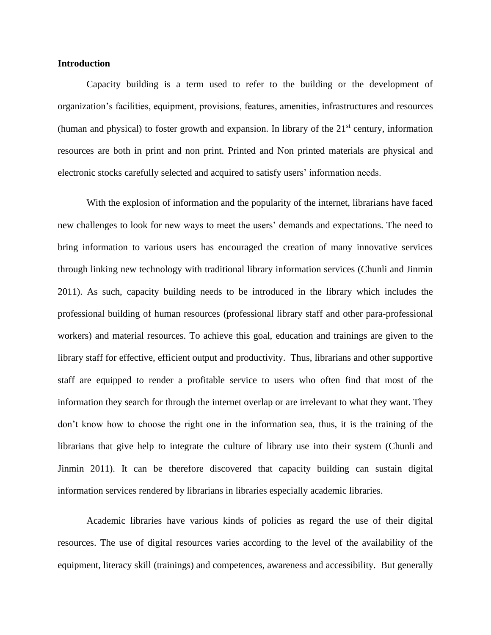## **Introduction**

Capacity building is a term used to refer to the building or the development of organization's facilities, equipment, provisions, features, amenities, infrastructures and resources (human and physical) to foster growth and expansion. In library of the  $21<sup>st</sup>$  century, information resources are both in print and non print. Printed and Non printed materials are physical and electronic stocks carefully selected and acquired to satisfy users' information needs.

With the explosion of information and the popularity of the internet, librarians have faced new challenges to look for new ways to meet the users' demands and expectations. The need to bring information to various users has encouraged the creation of many innovative services through linking new technology with traditional library information services (Chunli and Jinmin 2011). As such, capacity building needs to be introduced in the library which includes the professional building of human resources (professional library staff and other para-professional workers) and material resources. To achieve this goal, education and trainings are given to the library staff for effective, efficient output and productivity. Thus, librarians and other supportive staff are equipped to render a profitable service to users who often find that most of the information they search for through the internet overlap or are irrelevant to what they want. They don't know how to choose the right one in the information sea, thus, it is the training of the librarians that give help to integrate the culture of library use into their system (Chunli and Jinmin 2011). It can be therefore discovered that capacity building can sustain digital information services rendered by librarians in libraries especially academic libraries.

Academic libraries have various kinds of policies as regard the use of their digital resources. The use of digital resources varies according to the level of the availability of the equipment, literacy skill (trainings) and competences, awareness and accessibility. But generally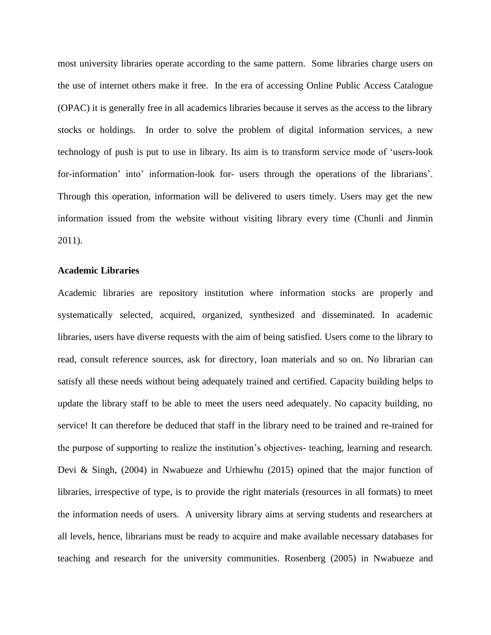most university libraries operate according to the same pattern. Some libraries charge users on the use of internet others make it free. In the era of accessing Online Public Access Catalogue (OPAC) it is generally free in all academics libraries because it serves as the access to the library stocks or holdings. In order to solve the problem of digital information services, a new technology of push is put to use in library. Its aim is to transform service mode of 'users-look for-information' into' information-look for- users through the operations of the librarians'. Through this operation, information will be delivered to users timely. Users may get the new information issued from the website without visiting library every time (Chunli and Jinmin 2011).

#### **Academic Libraries**

Academic libraries are repository institution where information stocks are properly and systematically selected, acquired, organized, synthesized and disseminated. In academic libraries, users have diverse requests with the aim of being satisfied. Users come to the library to read, consult reference sources, ask for directory, loan materials and so on. No librarian can satisfy all these needs without being adequately trained and certified. Capacity building helps to update the library staff to be able to meet the users need adequately. No capacity building, no service! It can therefore be deduced that staff in the library need to be trained and re-trained for the purpose of supporting to realize the institution's objectives- teaching, learning and research. Devi & Singh, (2004) in Nwabueze and Urhiewhu (2015) opined that the major function of libraries, irrespective of type, is to provide the right materials (resources in all formats) to meet the information needs of users. A university library aims at serving students and researchers at all levels, hence, librarians must be ready to acquire and make available necessary databases for teaching and research for the university communities. Rosenberg (2005) in Nwabueze and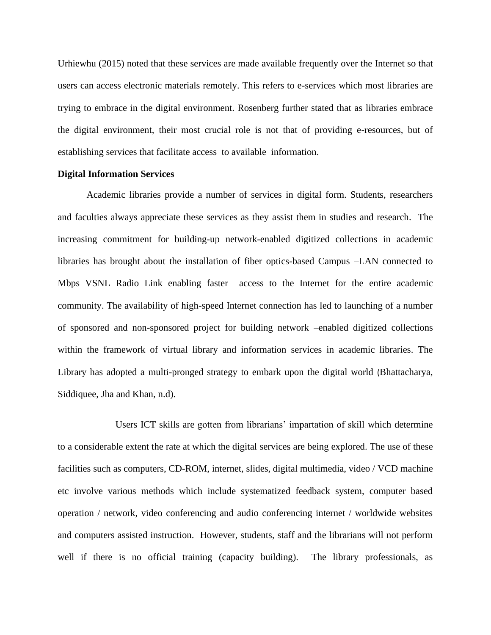Urhiewhu (2015) noted that these services are made available frequently over the Internet so that users can access electronic materials remotely. This refers to e-services which most libraries are trying to embrace in the digital environment. Rosenberg further stated that as libraries embrace the digital environment, their most crucial role is not that of providing e-resources, but of establishing services that facilitate access to available information.

#### **Digital Information Services**

Academic libraries provide a number of services in digital form. Students, researchers and faculties always appreciate these services as they assist them in studies and research. The increasing commitment for building-up network-enabled digitized collections in academic libraries has brought about the installation of fiber optics-based Campus –LAN connected to Mbps VSNL Radio Link enabling faster access to the Internet for the entire academic community. The availability of high-speed Internet connection has led to launching of a number of sponsored and non-sponsored project for building network –enabled digitized collections within the framework of virtual library and information services in academic libraries. The Library has adopted a multi-pronged strategy to embark upon the digital world (Bhattacharya, Siddiquee, Jha and Khan, n.d).

Users ICT skills are gotten from librarians' impartation of skill which determine to a considerable extent the rate at which the digital services are being explored. The use of these facilities such as computers, CD-ROM, internet, slides, digital multimedia, video / VCD machine etc involve various methods which include systematized feedback system, computer based operation / network, video conferencing and audio conferencing internet / worldwide websites and computers assisted instruction. However, students, staff and the librarians will not perform well if there is no official training (capacity building). The library professionals, as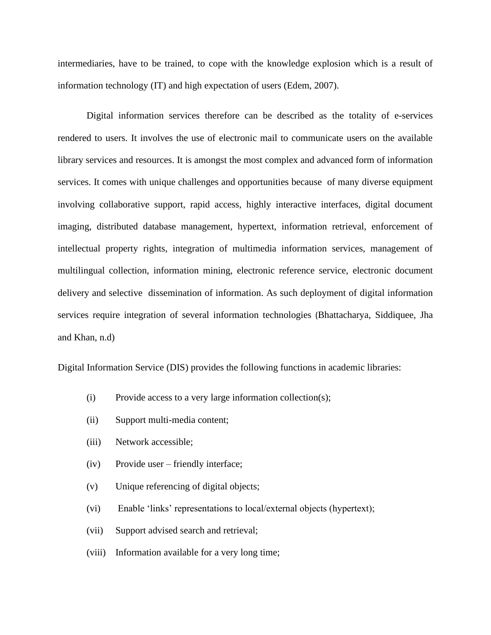intermediaries, have to be trained, to cope with the knowledge explosion which is a result of information technology (IT) and high expectation of users (Edem, 2007).

Digital information services therefore can be described as the totality of e-services rendered to users. It involves the use of electronic mail to communicate users on the available library services and resources. It is amongst the most complex and advanced form of information services. It comes with unique challenges and opportunities because of many diverse equipment involving collaborative support, rapid access, highly interactive interfaces, digital document imaging, distributed database management, hypertext, information retrieval, enforcement of intellectual property rights, integration of multimedia information services, management of multilingual collection, information mining, electronic reference service, electronic document delivery and selective dissemination of information. As such deployment of digital information services require integration of several information technologies (Bhattacharya, Siddiquee, Jha and Khan, n.d)

Digital Information Service (DIS) provides the following functions in academic libraries:

- (i) Provide access to a very large information collection(s);
- (ii) Support multi-media content;
- (iii) Network accessible;
- (iv) Provide user friendly interface;
- (v) Unique referencing of digital objects;
- (vi) Enable 'links' representations to local/external objects (hypertext);
- (vii) Support advised search and retrieval;
- (viii) Information available for a very long time;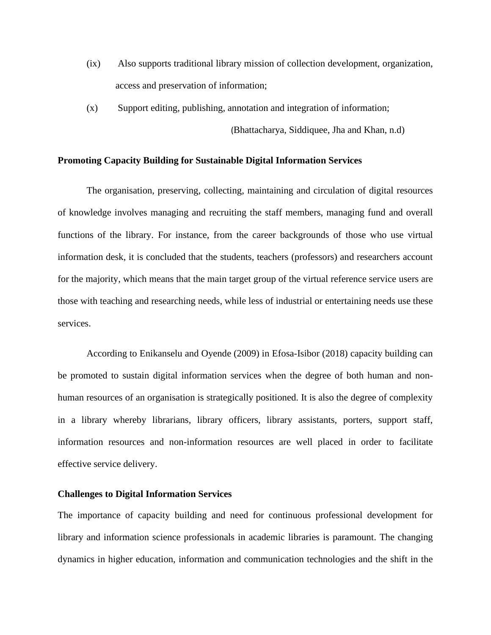- (ix) Also supports traditional library mission of collection development, organization, access and preservation of information;
- (x) Support editing, publishing, annotation and integration of information;

(Bhattacharya, Siddiquee, Jha and Khan, n.d)

#### **Promoting Capacity Building for Sustainable Digital Information Services**

The organisation, preserving, collecting, maintaining and circulation of digital resources of knowledge involves managing and recruiting the staff members, managing fund and overall functions of the library. For instance, from the career backgrounds of those who use virtual information desk, it is concluded that the students, teachers (professors) and researchers account for the majority, which means that the main target group of the virtual reference service users are those with teaching and researching needs, while less of industrial or entertaining needs use these services.

According to Enikanselu and Oyende (2009) in Efosa-Isibor (2018) capacity building can be promoted to sustain digital information services when the degree of both human and nonhuman resources of an organisation is strategically positioned. It is also the degree of complexity in a library whereby librarians, library officers, library assistants, porters, support staff, information resources and non-information resources are well placed in order to facilitate effective service delivery.

# **Challenges to Digital Information Services**

The importance of capacity building and need for continuous professional development for library and information science professionals in academic libraries is paramount. The changing dynamics in higher education, information and communication technologies and the shift in the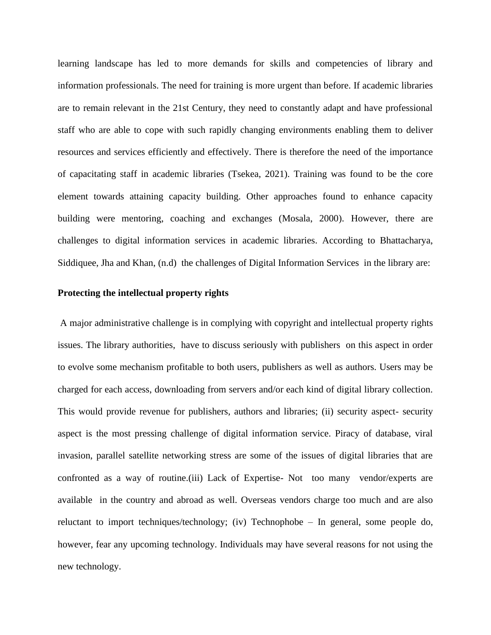learning landscape has led to more demands for skills and competencies of library and information professionals. The need for training is more urgent than before. If academic libraries are to remain relevant in the 21st Century, they need to constantly adapt and have professional staff who are able to cope with such rapidly changing environments enabling them to deliver resources and services efficiently and effectively. There is therefore the need of the importance of capacitating staff in academic libraries (Tsekea, 2021). Training was found to be the core element towards attaining capacity building. Other approaches found to enhance capacity building were mentoring, coaching and exchanges (Mosala, 2000). However, there are challenges to digital information services in academic libraries. According to Bhattacharya, Siddiquee, Jha and Khan, (n.d) the challenges of Digital Information Services in the library are:

#### **Protecting the intellectual property rights**

A major administrative challenge is in complying with copyright and intellectual property rights issues. The library authorities, have to discuss seriously with publishers on this aspect in order to evolve some mechanism profitable to both users, publishers as well as authors. Users may be charged for each access, downloading from servers and/or each kind of digital library collection. This would provide revenue for publishers, authors and libraries; (ii) security aspect- security aspect is the most pressing challenge of digital information service. Piracy of database, viral invasion, parallel satellite networking stress are some of the issues of digital libraries that are confronted as a way of routine.(iii) Lack of Expertise- Not too many vendor/experts are available in the country and abroad as well. Overseas vendors charge too much and are also reluctant to import techniques/technology; (iv) Technophobe – In general, some people do, however, fear any upcoming technology. Individuals may have several reasons for not using the new technology.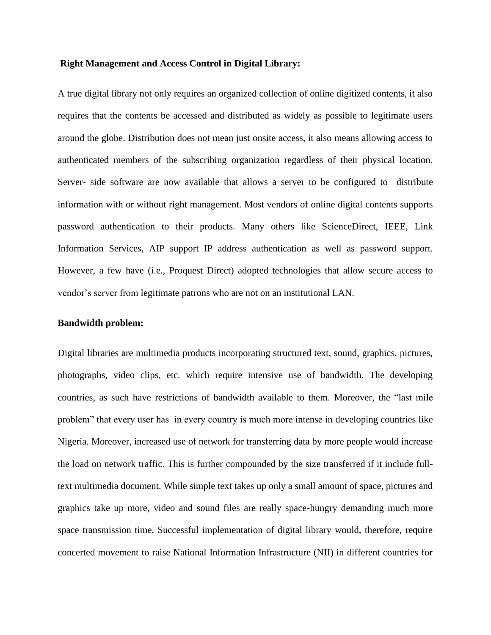#### **Right Management and Access Control in Digital Library:**

A true digital library not only requires an organized collection of online digitized contents, it also requires that the contents be accessed and distributed as widely as possible to legitimate users around the globe. Distribution does not mean just onsite access, it also means allowing access to authenticated members of the subscribing organization regardless of their physical location. Server- side software are now available that allows a server to be configured to distribute information with or without right management. Most vendors of online digital contents supports password authentication to their products. Many others like ScienceDirect, IEEE, Link Information Services, AIP support IP address authentication as well as password support. However, a few have (i.e., Proquest Direct) adopted technologies that allow secure access to vendor's server from legitimate patrons who are not on an institutional LAN.

#### **Bandwidth problem:**

Digital libraries are multimedia products incorporating structured text, sound, graphics, pictures, photographs, video clips, etc. which require intensive use of bandwidth. The developing countries, as such have restrictions of bandwidth available to them. Moreover, the "last mile problem" that every user has in every country is much more intense in developing countries like Nigeria. Moreover, increased use of network for transferring data by more people would increase the load on network traffic. This is further compounded by the size transferred if it include fulltext multimedia document. While simple text takes up only a small amount of space, pictures and graphics take up more, video and sound files are really space-hungry demanding much more space transmission time. Successful implementation of digital library would, therefore, require concerted movement to raise National Information Infrastructure (NII) in different countries for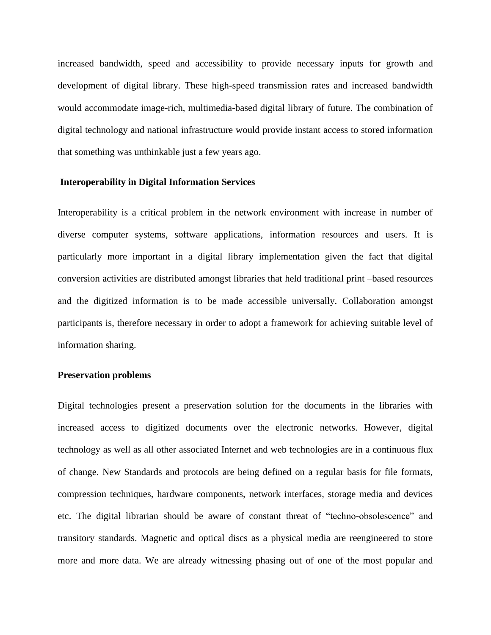increased bandwidth, speed and accessibility to provide necessary inputs for growth and development of digital library. These high-speed transmission rates and increased bandwidth would accommodate image-rich, multimedia-based digital library of future. The combination of digital technology and national infrastructure would provide instant access to stored information that something was unthinkable just a few years ago.

#### **Interoperability in Digital Information Services**

Interoperability is a critical problem in the network environment with increase in number of diverse computer systems, software applications, information resources and users. It is particularly more important in a digital library implementation given the fact that digital conversion activities are distributed amongst libraries that held traditional print –based resources and the digitized information is to be made accessible universally. Collaboration amongst participants is, therefore necessary in order to adopt a framework for achieving suitable level of information sharing.

#### **Preservation problems**

Digital technologies present a preservation solution for the documents in the libraries with increased access to digitized documents over the electronic networks. However, digital technology as well as all other associated Internet and web technologies are in a continuous flux of change. New Standards and protocols are being defined on a regular basis for file formats, compression techniques, hardware components, network interfaces, storage media and devices etc. The digital librarian should be aware of constant threat of "techno-obsolescence" and transitory standards. Magnetic and optical discs as a physical media are reengineered to store more and more data. We are already witnessing phasing out of one of the most popular and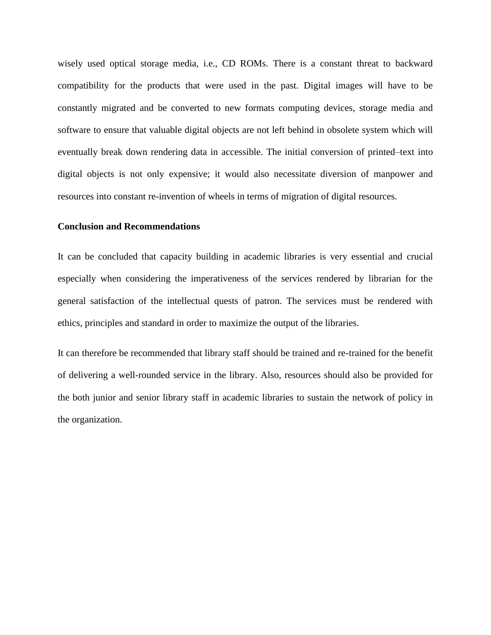wisely used optical storage media, i.e., CD ROMs. There is a constant threat to backward compatibility for the products that were used in the past. Digital images will have to be constantly migrated and be converted to new formats computing devices, storage media and software to ensure that valuable digital objects are not left behind in obsolete system which will eventually break down rendering data in accessible. The initial conversion of printed–text into digital objects is not only expensive; it would also necessitate diversion of manpower and resources into constant re-invention of wheels in terms of migration of digital resources.

### **Conclusion and Recommendations**

It can be concluded that capacity building in academic libraries is very essential and crucial especially when considering the imperativeness of the services rendered by librarian for the general satisfaction of the intellectual quests of patron. The services must be rendered with ethics, principles and standard in order to maximize the output of the libraries.

It can therefore be recommended that library staff should be trained and re-trained for the benefit of delivering a well-rounded service in the library. Also, resources should also be provided for the both junior and senior library staff in academic libraries to sustain the network of policy in the organization.